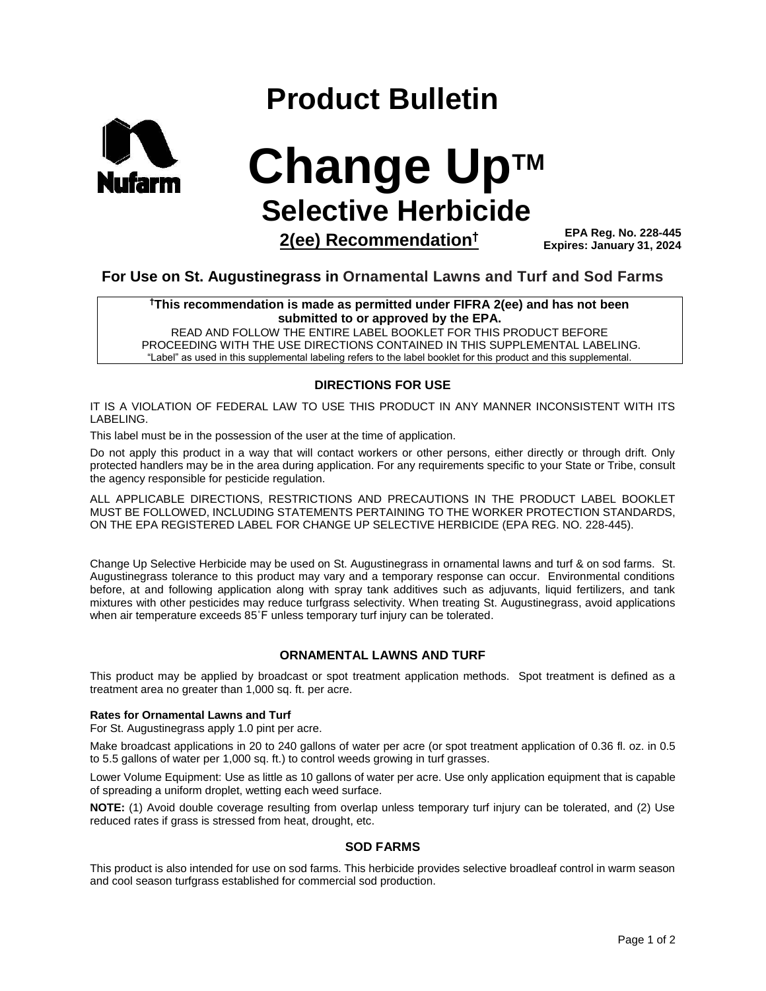# **Product Bulletin**



**Change UpTM Selective Herbicide**

**2(ee) Recommendation†**

**EPA Reg. No. 228-445 Expires: January 31, 2024**

# **For Use on St. Augustinegrass in Ornamental Lawns and Turf and Sod Farms**

**†This recommendation is made as permitted under FIFRA 2(ee) and has not been submitted to or approved by the EPA.** 

READ AND FOLLOW THE ENTIRE LABEL BOOKLET FOR THIS PRODUCT BEFORE PROCEEDING WITH THE USE DIRECTIONS CONTAINED IN THIS SUPPLEMENTAL LABELING. "Label" as used in this supplemental labeling refers to the label booklet for this product and this supplemental.

# **DIRECTIONS FOR USE**

IT IS A VIOLATION OF FEDERAL LAW TO USE THIS PRODUCT IN ANY MANNER INCONSISTENT WITH ITS LABELING.

This label must be in the possession of the user at the time of application.

Do not apply this product in a way that will contact workers or other persons, either directly or through drift. Only protected handlers may be in the area during application. For any requirements specific to your State or Tribe, consult the agency responsible for pesticide regulation.

ALL APPLICABLE DIRECTIONS, RESTRICTIONS AND PRECAUTIONS IN THE PRODUCT LABEL BOOKLET MUST BE FOLLOWED, INCLUDING STATEMENTS PERTAINING TO THE WORKER PROTECTION STANDARDS, ON THE EPA REGISTERED LABEL FOR CHANGE UP SELECTIVE HERBICIDE (EPA REG. NO. 228-445).

Change Up Selective Herbicide may be used on St. Augustinegrass in ornamental lawns and turf & on sod farms. St. Augustinegrass tolerance to this product may vary and a temporary response can occur. Environmental conditions before, at and following application along with spray tank additives such as adjuvants, liquid fertilizers, and tank mixtures with other pesticides may reduce turfgrass selectivity. When treating St. Augustinegrass, avoid applications when air temperature exceeds 85°F unless temporary turf injury can be tolerated.

# **ORNAMENTAL LAWNS AND TURF**

This product may be applied by broadcast or spot treatment application methods. Spot treatment is defined as a treatment area no greater than 1,000 sq. ft. per acre.

# **Rates for Ornamental Lawns and Turf**

For St. Augustinegrass apply 1.0 pint per acre.

Make broadcast applications in 20 to 240 gallons of water per acre (or spot treatment application of 0.36 fl. oz. in 0.5 to 5.5 gallons of water per 1,000 sq. ft.) to control weeds growing in turf grasses.

Lower Volume Equipment: Use as little as 10 gallons of water per acre. Use only application equipment that is capable of spreading a uniform droplet, wetting each weed surface.

**NOTE:** (1) Avoid double coverage resulting from overlap unless temporary turf injury can be tolerated, and (2) Use reduced rates if grass is stressed from heat, drought, etc.

# **SOD FARMS**

This product is also intended for use on sod farms. This herbicide provides selective broadleaf control in warm season and cool season turfgrass established for commercial sod production.